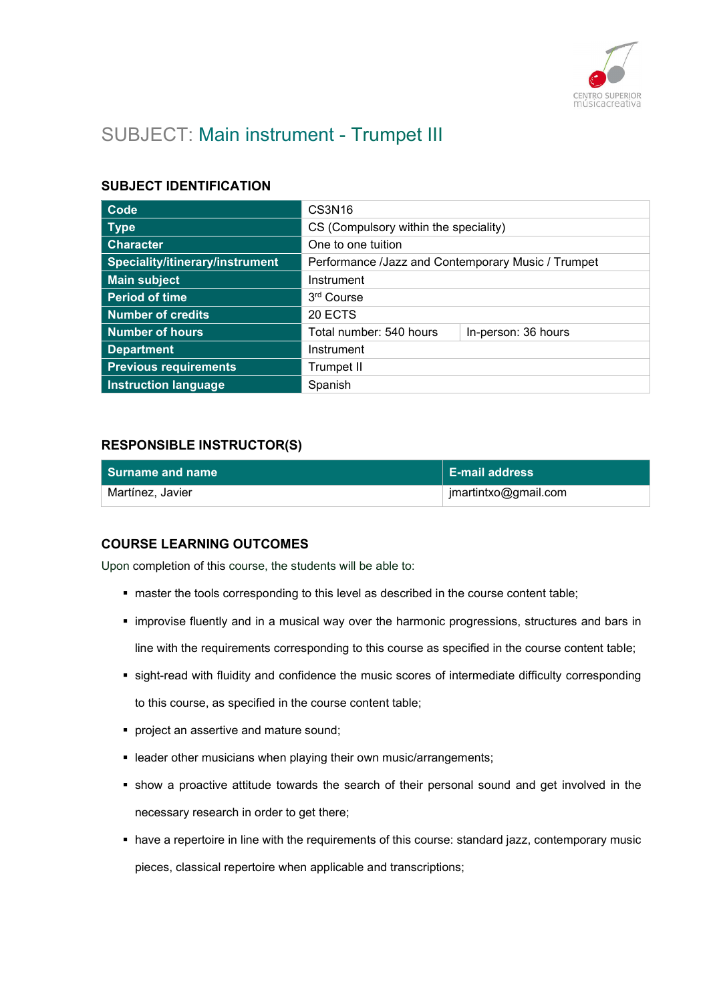

# SUBJECT: Main instrument - Trumpet III

## SUBJECT IDENTIFICATION

| Code                            | CS3N <sub>16</sub>                                 |                     |
|---------------------------------|----------------------------------------------------|---------------------|
| <b>Type</b>                     | CS (Compulsory within the speciality)              |                     |
| <b>Character</b>                | One to one tuition                                 |                     |
| Speciality/itinerary/instrument | Performance /Jazz and Contemporary Music / Trumpet |                     |
| <b>Main subject</b>             | Instrument                                         |                     |
| <b>Period of time</b>           | 3 <sup>rd</sup> Course                             |                     |
| Number of credits               | 20 ECTS                                            |                     |
| <b>Number of hours</b>          | Total number: 540 hours                            | In-person: 36 hours |
| <b>Department</b>               | Instrument                                         |                     |
| <b>Previous requirements</b>    | Trumpet II                                         |                     |
| <b>Instruction language</b>     | Spanish                                            |                     |

## RESPONSIBLE INSTRUCTOR(S)

| Surname and name | <b>E-mail address</b> |
|------------------|-----------------------|
| Martínez, Javier | jmartintxo@gmail.com  |

## COURSE LEARNING OUTCOMES

Upon completion of this course, the students will be able to:

- master the tools corresponding to this level as described in the course content table;
- **.** improvise fluently and in a musical way over the harmonic progressions, structures and bars in line with the requirements corresponding to this course as specified in the course content table;
- sight-read with fluidity and confidence the music scores of intermediate difficulty corresponding to this course, as specified in the course content table;
- **project an assertive and mature sound;**
- **EXECTE FIELD FIELD FIELD FIELD** FIELD in teacher own music/arrangements;
- show a proactive attitude towards the search of their personal sound and get involved in the necessary research in order to get there;
- have a repertoire in line with the requirements of this course: standard jazz, contemporary music pieces, classical repertoire when applicable and transcriptions;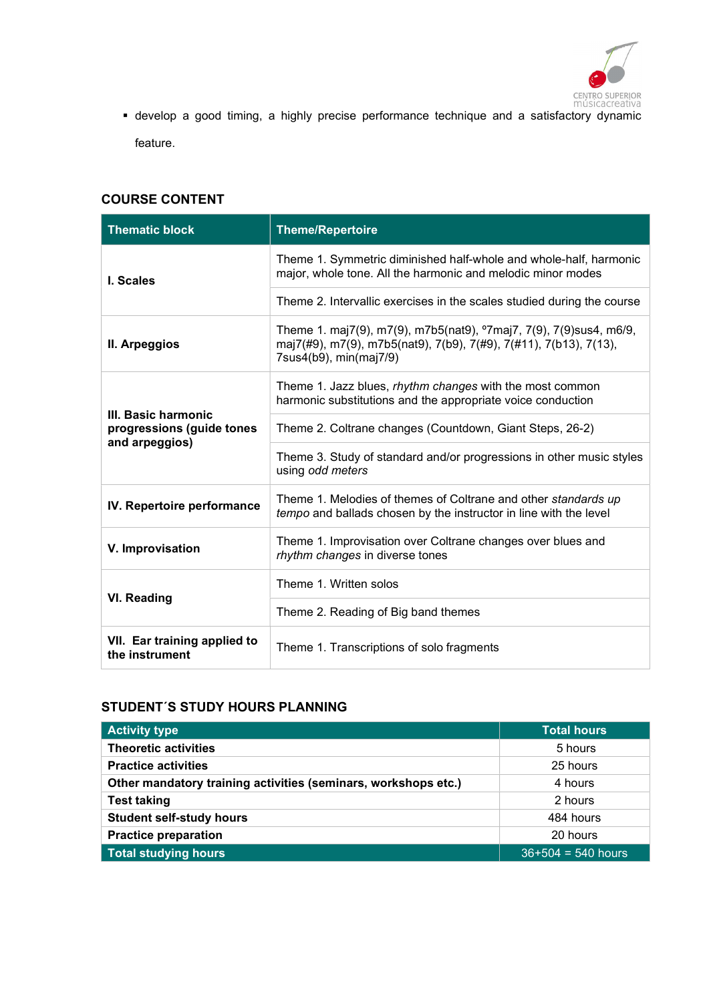

CENTRO SUPERIOR<br>músicacreativa<br>develop a good timing, a highly precise performance technique and a satisfactory dynamic feature.

## COURSE CONTENT

| <b>Thematic block</b>                                              | <b>Theme/Repertoire</b>                                                                                                                                                       |
|--------------------------------------------------------------------|-------------------------------------------------------------------------------------------------------------------------------------------------------------------------------|
| I. Scales                                                          | Theme 1. Symmetric diminished half-whole and whole-half, harmonic<br>major, whole tone. All the harmonic and melodic minor modes                                              |
|                                                                    | Theme 2. Intervallic exercises in the scales studied during the course                                                                                                        |
| II. Arpeggios                                                      | Theme 1. maj7(9), m7(9), m7b5(nat9), <sup>o</sup> 7maj7, 7(9), 7(9)sus4, m6/9,<br>maj7(#9), m7(9), m7b5(nat9), 7(b9), 7(#9), 7(#11), 7(b13), 7(13),<br>7sus4(b9), min(maj7/9) |
| III. Basic harmonic<br>progressions (guide tones<br>and arpeggios) | Theme 1. Jazz blues, rhythm changes with the most common<br>harmonic substitutions and the appropriate voice conduction                                                       |
|                                                                    | Theme 2. Coltrane changes (Countdown, Giant Steps, 26-2)                                                                                                                      |
|                                                                    | Theme 3. Study of standard and/or progressions in other music styles<br>using odd meters                                                                                      |
| IV. Repertoire performance                                         | Theme 1. Melodies of themes of Coltrane and other standards up<br>tempo and ballads chosen by the instructor in line with the level                                           |
| V. Improvisation                                                   | Theme 1. Improvisation over Coltrane changes over blues and<br>rhythm changes in diverse tones                                                                                |
| VI. Reading                                                        | Theme 1. Written solos                                                                                                                                                        |
|                                                                    | Theme 2. Reading of Big band themes                                                                                                                                           |
| VII. Ear training applied to<br>the instrument                     | Theme 1. Transcriptions of solo fragments                                                                                                                                     |

## STUDENT´S STUDY HOURS PLANNING

| <b>Activity type</b>                                           | <b>Total hours</b>   |
|----------------------------------------------------------------|----------------------|
| <b>Theoretic activities</b>                                    | 5 hours              |
| <b>Practice activities</b>                                     | 25 hours             |
| Other mandatory training activities (seminars, workshops etc.) | 4 hours              |
| <b>Test taking</b>                                             | 2 hours              |
| <b>Student self-study hours</b>                                | 484 hours            |
| <b>Practice preparation</b>                                    | 20 hours             |
| <b>Total studying hours</b>                                    | $36+504 = 540$ hours |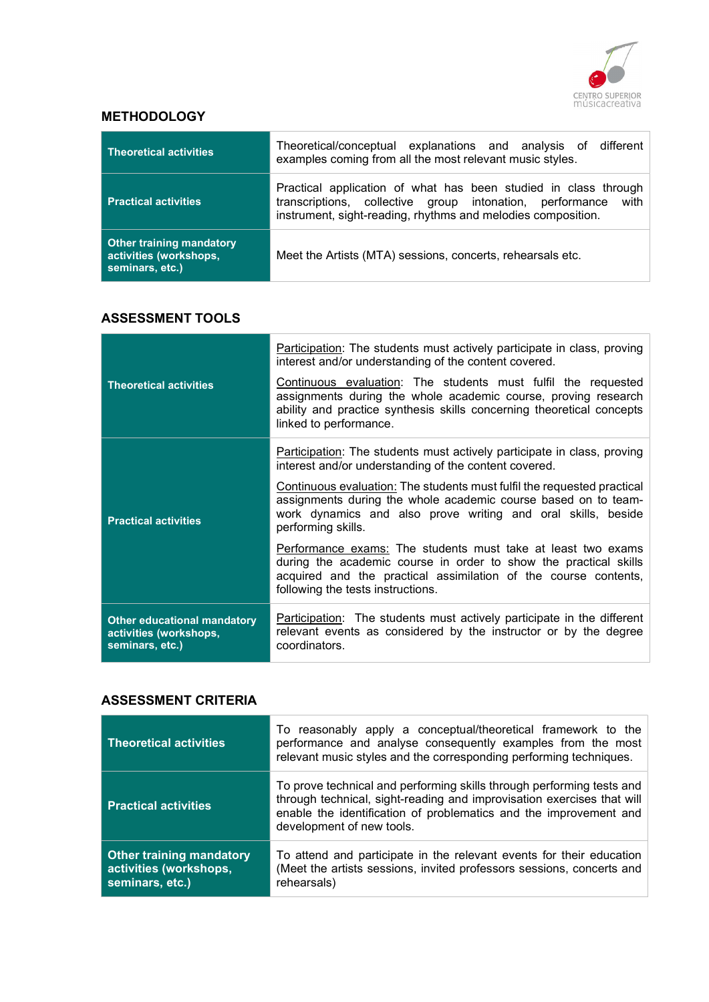

## **METHODOLOGY**

| <b>Theoretical activities</b>                                                | Theoretical/conceptual explanations and analysis of different<br>examples coming from all the most relevant music styles.                                                                        |
|------------------------------------------------------------------------------|--------------------------------------------------------------------------------------------------------------------------------------------------------------------------------------------------|
| <b>Practical activities</b>                                                  | Practical application of what has been studied in class through<br>transcriptions, collective group intonation, performance with<br>instrument, sight-reading, rhythms and melodies composition. |
| <b>Other training mandatory</b><br>activities (workshops,<br>seminars, etc.) | Meet the Artists (MTA) sessions, concerts, rehearsals etc.                                                                                                                                       |

## ASSESSMENT TOOLS

|                                                                                 | Participation: The students must actively participate in class, proving<br>interest and/or understanding of the content covered.                                                                                                         |
|---------------------------------------------------------------------------------|------------------------------------------------------------------------------------------------------------------------------------------------------------------------------------------------------------------------------------------|
| <b>Theoretical activities</b>                                                   | Continuous evaluation: The students must fulfil the requested<br>assignments during the whole academic course, proving research<br>ability and practice synthesis skills concerning theoretical concepts<br>linked to performance.       |
| <b>Practical activities</b>                                                     | <b>Participation:</b> The students must actively participate in class, proving<br>interest and/or understanding of the content covered.                                                                                                  |
|                                                                                 | Continuous evaluation: The students must fulfil the requested practical<br>assignments during the whole academic course based on to team-<br>work dynamics and also prove writing and oral skills, beside<br>performing skills.          |
|                                                                                 | Performance exams: The students must take at least two exams<br>during the academic course in order to show the practical skills<br>acquired and the practical assimilation of the course contents,<br>following the tests instructions. |
| <b>Other educational mandatory</b><br>activities (workshops,<br>seminars, etc.) | Participation: The students must actively participate in the different<br>relevant events as considered by the instructor or by the degree<br>coordinators.                                                                              |

### ASSESSMENT CRITERIA

| <b>Theoretical activities</b>                                                | To reasonably apply a conceptual/theoretical framework to the<br>performance and analyse consequently examples from the most<br>relevant music styles and the corresponding performing techniques.                                                |
|------------------------------------------------------------------------------|---------------------------------------------------------------------------------------------------------------------------------------------------------------------------------------------------------------------------------------------------|
| <b>Practical activities</b>                                                  | To prove technical and performing skills through performing tests and<br>through technical, sight-reading and improvisation exercises that will<br>enable the identification of problematics and the improvement and<br>development of new tools. |
| <b>Other training mandatory</b><br>activities (workshops,<br>seminars, etc.) | To attend and participate in the relevant events for their education<br>(Meet the artists sessions, invited professors sessions, concerts and<br>rehearsals)                                                                                      |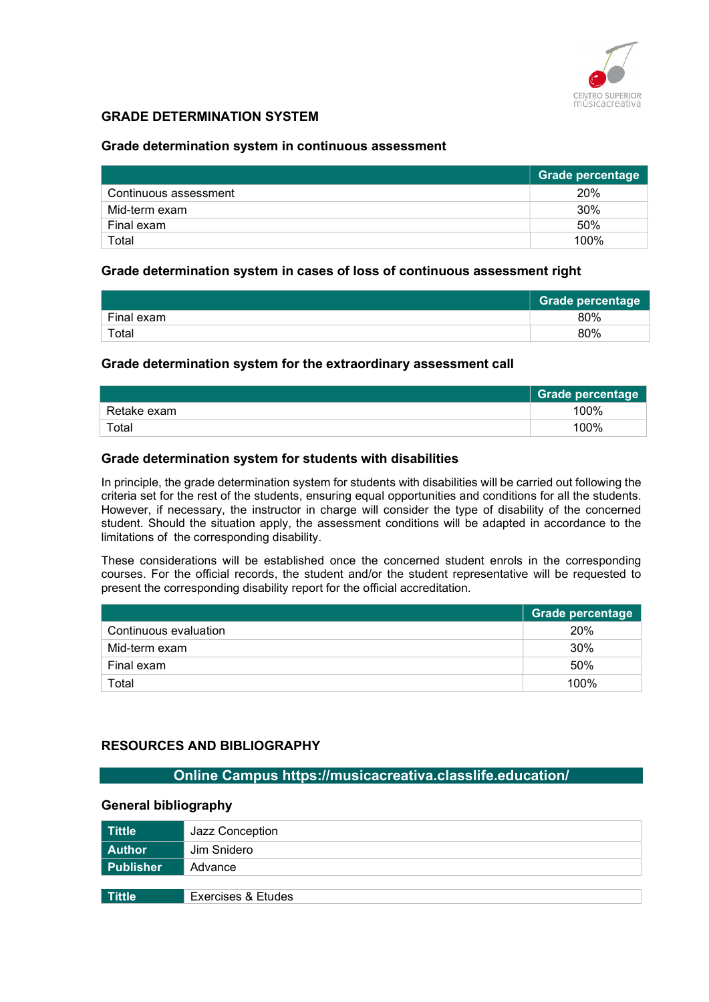

## GRADE DETERMINATION SYSTEM

#### Grade determination system in continuous assessment

|                       | Grade percentage |
|-----------------------|------------------|
| Continuous assessment | 20%              |
| Mid-term exam         | 30%              |
| Final exam            | 50%              |
| Total                 | 100%             |

#### Grade determination system in cases of loss of continuous assessment right

|            | Grade percentage |
|------------|------------------|
| Final exam | 80%              |
| Total      | 80%              |

#### Grade determination system for the extraordinary assessment call

|             | <b>Grade percentage</b> |
|-------------|-------------------------|
| Retake exam | 100%                    |
| Total       | 100%                    |

#### Grade determination system for students with disabilities

In principle, the grade determination system for students with disabilities will be carried out following the criteria set for the rest of the students, ensuring equal opportunities and conditions for all the students. However, if necessary, the instructor in charge will consider the type of disability of the concerned student. Should the situation apply, the assessment conditions will be adapted in accordance to the limitations of the corresponding disability.

These considerations will be established once the concerned student enrols in the corresponding courses. For the official records, the student and/or the student representative will be requested to present the corresponding disability report for the official accreditation.

|                       | Grade percentage |
|-----------------------|------------------|
| Continuous evaluation | 20%              |
| Mid-term exam         | 30%              |
| Final exam            | 50%              |
| Total                 | 100%             |

## RESOURCES AND BIBLIOGRAPHY

## Online Campus https://musicacreativa.classlife.education/

#### General bibliography

| <b>Tittle</b> | Jazz Conception    |
|---------------|--------------------|
| <b>Author</b> | Jim Snidero        |
| Publisher     | Advance            |
|               |                    |
| Tittle        | Exercises & Etudes |
|               |                    |